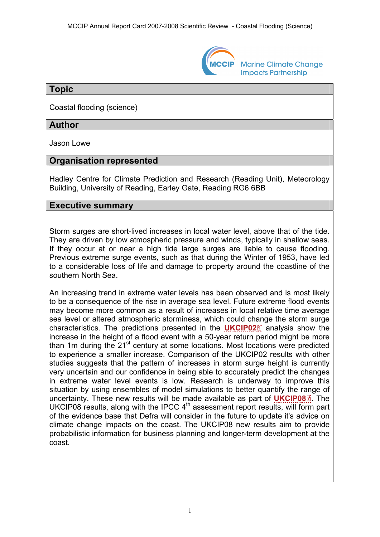

**Marine Climate Change Impacts Partnership** 

#### **Topic**

Coastal flooding (science)

# **Author**

Jason Lowe

# **Organisation represented**

Hadley Centre for Climate Prediction and Research (Reading Unit), Meteorology Building, University of Reading, Earley Gate, Reading RG6 6BB

# **Executive summary**

Storm surges are short-lived increases in local water level, above that of the tide. They are driven by low atmospheric pressure and winds, typically in shallow seas. If they occur at or near a high tide large surges are liable to cause flooding. Previous extreme surge events, such as that during the Winter of 1953, have led to a considerable loss of life and damage to property around the coastline of the southern North Sea.

An increasing trend in extreme water levels has been observed and is most likely to be a consequence of the rise in average sea level. Future extreme flood events may become more common as a result of increases in local relative time average sea level or altered atmospheric storminess, which could c[han](http://www.mccip.org.uk/arc/2007/glossary.htm)ge the storm surge characteristics. The predictions presented in the **[UKCIP02](http://www.mccip.org.uk/arc/2007/glossary.htm#UKCIP02)** analysis show the increase in the height of a flood event with a 50-year return period might be more than 1m during the  $21<sup>st</sup>$  century at some locations. Most locations were predicted to experience a smaller increase. Comparison of the UKCIP02 results with other studies suggests that the pattern of increases in storm surge height is currently very uncertain and our confidence in being able to accurately predict the changes in extreme water level events is low. Research is underway to improve this situation by using ensembles of model simulations to better quantify the r[ang](http://www.mccip.org.uk/arc/2007/glossary.htm)e of uncertainty. These new results will be made available as part of **[UKCIP08](http://www.mccip.org.uk/arc/2007/glossary.htm#UKCIP08)** . The UKCIP08 results, along with the IPCC  $4<sup>th</sup>$  assessment report results, will form part of the evidence base that Defra will consider in the future to update it's advice on climate change impacts on the coast. The UKCIP08 new results aim to provide probabilistic information for business planning and longer-term development at the coast.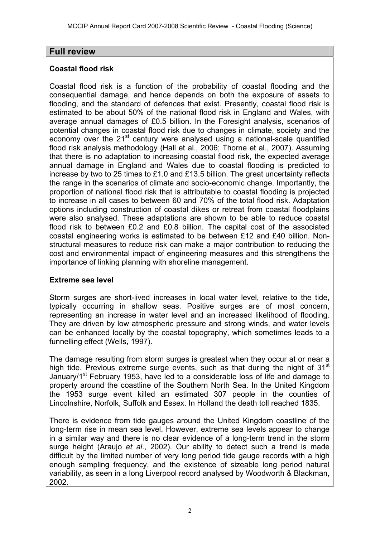# **Full review**

### **Coastal flood risk**

Coastal flood risk is a function of the probability of coastal flooding and the consequential damage, and hence depends on both the exposure of assets to flooding, and the standard of defences that exist. Presently, coastal flood risk is estimated to be about 50% of the national flood risk in England and Wales, with average annual damages of £0.5 billion. In the Foresight analysis, scenarios of potential changes in coastal flood risk due to changes in climate, society and the economy over the  $21^{st}$  century were analysed using a national-scale quantified flood risk analysis methodology (Hall et al., 2006; Thorne et al., 2007). Assuming that there is no adaptation to increasing coastal flood risk, the expected average annual damage in England and Wales due to coastal flooding is predicted to increase by two to 25 times to £1.0 and £13.5 billion. The great uncertainty reflects the range in the scenarios of climate and socio-economic change. Importantly, the proportion of national flood risk that is attributable to coastal flooding is projected to increase in all cases to between 60 and 70% of the total flood risk. Adaptation options including construction of coastal dikes or retreat from coastal floodplains were also analysed. These adaptations are shown to be able to reduce coastal flood risk to between £0.2 and £0.8 billion. The capital cost of the associated coastal engineering works is estimated to be between £12 and £40 billion. Nonstructural measures to reduce risk can make a major contribution to reducing the cost and environmental impact of engineering measures and this strengthens the importance of linking planning with shoreline management.

### **Extreme sea level**

Storm surges are short-lived increases in local water level, relative to the tide, typically occurring in shallow seas. Positive surges are of most concern, representing an increase in water level and an increased likelihood of flooding. They are driven by low atmospheric pressure and strong winds, and water levels can be enhanced locally by the coastal topography, which sometimes leads to a funnelling effect (Wells, 1997).

The damage resulting from storm surges is greatest when they occur at or near a high tide. Previous extreme surge events, such as that during the night of 31<sup>st</sup> January/1<sup>st</sup> February 1953, have led to a considerable loss of life and damage to property around the coastline of the Southern North Sea. In the United Kingdom the 1953 surge event killed an estimated 307 people in the counties of Lincolnshire, Norfolk, Suffolk and Essex. In Holland the death toll reached 1835.

There is evidence from tide gauges around the United Kingdom coastline of the long-term rise in mean sea level. However, extreme sea levels appear to change in a similar way and there is no clear evidence of a long-term trend in the storm surge height (Araujo *et al*., 2002). Our ability to detect such a trend is made difficult by the limited number of very long period tide gauge records with a high enough sampling frequency, and the existence of sizeable long period natural variability, as seen in a long Liverpool record analysed by Woodworth & Blackman, 2002.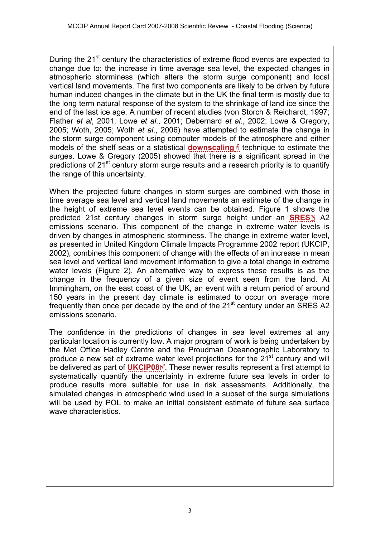During the 21<sup>st</sup> century the characteristics of extreme flood events are expected to change due to: the increase in time average sea level, the expected changes in atmospheric storminess (which alters the storm surge component) and local vertical land movements. The first two components are likely to be driven by future human induced changes in the climate but in the UK the final term is mostly due to the long term natural response of the system to the shrinkage of land ice since the end of the last ice age. A number of recent studies (von Storch & Reichardt, 1997; Flather *et al*, 2001; Lowe *et al*., 2001; Debernard *et al*., 2002; Lowe & Gregory, 2005; Woth, 2005; Woth *et al*., 2006) have attempted to estimate the change in the storm surge component using computer models [of th](http://www.mccip.org.uk/arc/2007/glossary.htm)e atmosphere and either models of the shelf seas or a statistical **[downscaling](http://www.mccip.org.uk/arc/2007/glossary.htm#Downscaling)**<sup>1</sup> technique to estimate the surges. Lowe & Gregory (2005) showed that there is a significant spread in the predictions of 21<sup>st</sup> century storm surge results and a research priority is to quantify the range of this uncertainty.

When the projected future changes in storm surges are combined with those in time average sea level and vertical land movements an estimate of the change in the height of extreme sea level events can be obtained. Figure 1 sho[ws](http://www.mccip.org.uk/arc/2007/glossary.htm) the predicted 21st century changes in storm surge height under an **[SRES](http://www.mccip.org.uk/arc/2007/glossary.htm#SRES)**<sup>2</sup> A2 emissions scenario. This component of the change in extreme water levels is driven by changes in atmospheric storminess. The change in extreme water level, as presented in United Kingdom Climate Impacts Programme 2002 report (UKCIP, 2002), combines this component of change with the effects of an increase in mean sea level and vertical land movement information to give a total change in extreme water levels (Figure 2). An alternative way to express these results is as the change in the frequency of a given size of event seen from the land. At Immingham, on the east coast of the UK, an event with a return period of around 150 years in the present day climate is estimated to occur on average more frequently than once per decade by the end of the  $21<sup>st</sup>$  century under an SRES A2 emissions scenario.

The confidence in the predictions of changes in sea level extremes at any particular location is currently low. A major program of work is being undertaken by the Met Office Hadley Centre and the Proudman Oceanographic Laboratory to produce a new set of extreme [wat](http://www.mccip.org.uk/arc/2007/glossary.htm)er level projections for the  $21<sup>st</sup>$  century and will be delivered as part of **[UKCIP08](http://www.mccip.org.uk/arc/2007/glossary.htm#UKCIP08)**<sup>8</sup>. These newer results represent a first attempt to systematically quantify the uncertainty in extreme future sea levels in order to produce results more suitable for use in risk assessments. Additionally, the simulated changes in atmospheric wind used in a subset of the surge simulations will be used by POL to make an initial consistent estimate of future sea surface wave characteristics.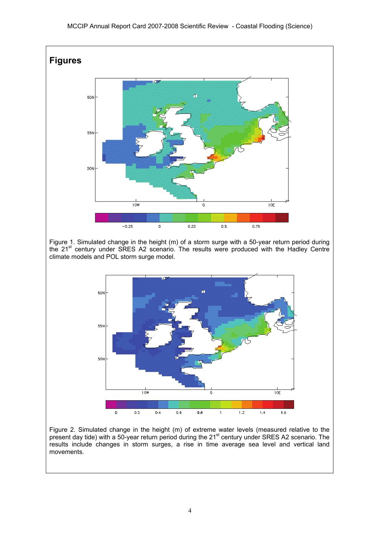

Figure 2. Simulated change in the height (m) of extreme water levels (measured relative to the present day tide) with a 50-year return period during the 21<sup>st</sup> century under SRES A2 scenario. The results include changes in storm surges, a rise in time average sea level and vertical land movements.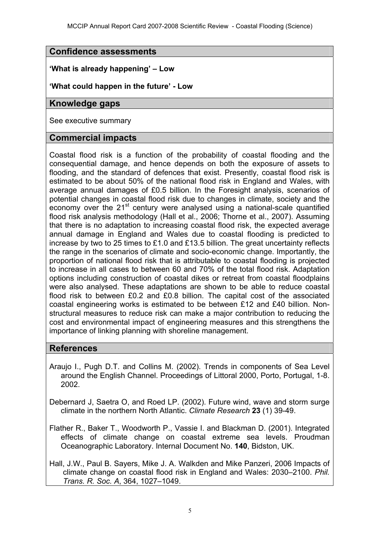### **Confidence assessments**

#### **'What is already happening' – Low**

#### **'What could happen in the future' - Low**

#### **Knowledge gaps**

See executive summary

#### **Commercial impacts**

Coastal flood risk is a function of the probability of coastal flooding and the consequential damage, and hence depends on both the exposure of assets to flooding, and the standard of defences that exist. Presently, coastal flood risk is estimated to be about 50% of the national flood risk in England and Wales, with average annual damages of £0.5 billion. In the Foresight analysis, scenarios of potential changes in coastal flood risk due to changes in climate, society and the economy over the  $21^{st}$  century were analysed using a national-scale quantified flood risk analysis methodology (Hall et al., 2006; Thorne et al., 2007). Assuming that there is no adaptation to increasing coastal flood risk, the expected average annual damage in England and Wales due to coastal flooding is predicted to increase by two to 25 times to £1.0 and £13.5 billion. The great uncertainty reflects the range in the scenarios of climate and socio-economic change. Importantly, the proportion of national flood risk that is attributable to coastal flooding is projected to increase in all cases to between 60 and 70% of the total flood risk. Adaptation options including construction of coastal dikes or retreat from coastal floodplains were also analysed. These adaptations are shown to be able to reduce coastal flood risk to between £0.2 and £0.8 billion. The capital cost of the associated coastal engineering works is estimated to be between £12 and £40 billion. Nonstructural measures to reduce risk can make a major contribution to reducing the cost and environmental impact of engineering measures and this strengthens the importance of linking planning with shoreline management.

### **References**

Araujo I., Pugh D.T. and Collins M. (2002). Trends in components of Sea Level around the English Channel. Proceedings of Littoral 2000, Porto, Portugal, 1-8. 2002.

Debernard J, Saetra O, and Roed LP. (2002). Future wind, wave and storm surge climate in the northern North Atlantic. *Climate Research* **23** (1) 39-49.

Flather R., Baker T., Woodworth P., Vassie I. and Blackman D. (2001). Integrated effects of climate change on coastal extreme sea levels. Proudman Oceanographic Laboratory. Internal Document No. **140**, Bidston, UK.

Hall, J.W., Paul B. Sayers, Mike J. A. Walkden and Mike Panzeri, 2006 Impacts of climate change on coastal flood risk in England and Wales: 2030–2100. *Phil. Trans. R. Soc. A*, 364, 1027–1049.